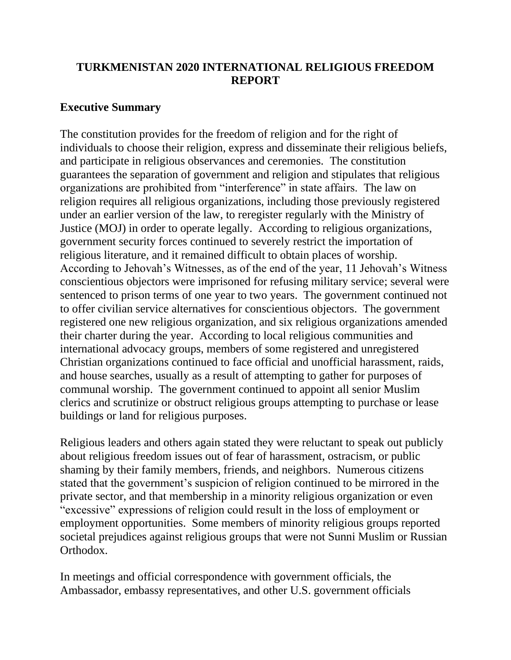## **TURKMENISTAN 2020 INTERNATIONAL RELIGIOUS FREEDOM REPORT**

### **Executive Summary**

The constitution provides for the freedom of religion and for the right of individuals to choose their religion, express and disseminate their religious beliefs, and participate in religious observances and ceremonies. The constitution guarantees the separation of government and religion and stipulates that religious organizations are prohibited from "interference" in state affairs. The law on religion requires all religious organizations, including those previously registered under an earlier version of the law, to reregister regularly with the Ministry of Justice (MOJ) in order to operate legally. According to religious organizations, government security forces continued to severely restrict the importation of religious literature, and it remained difficult to obtain places of worship. According to Jehovah's Witnesses, as of the end of the year, 11 Jehovah's Witness conscientious objectors were imprisoned for refusing military service; several were sentenced to prison terms of one year to two years. The government continued not to offer civilian service alternatives for conscientious objectors. The government registered one new religious organization, and six religious organizations amended their charter during the year. According to local religious communities and international advocacy groups, members of some registered and unregistered Christian organizations continued to face official and unofficial harassment, raids, and house searches, usually as a result of attempting to gather for purposes of communal worship. The government continued to appoint all senior Muslim clerics and scrutinize or obstruct religious groups attempting to purchase or lease buildings or land for religious purposes.

Religious leaders and others again stated they were reluctant to speak out publicly about religious freedom issues out of fear of harassment, ostracism, or public shaming by their family members, friends, and neighbors. Numerous citizens stated that the government's suspicion of religion continued to be mirrored in the private sector, and that membership in a minority religious organization or even "excessive" expressions of religion could result in the loss of employment or employment opportunities. Some members of minority religious groups reported societal prejudices against religious groups that were not Sunni Muslim or Russian Orthodox.

In meetings and official correspondence with government officials, the Ambassador, embassy representatives, and other U.S. government officials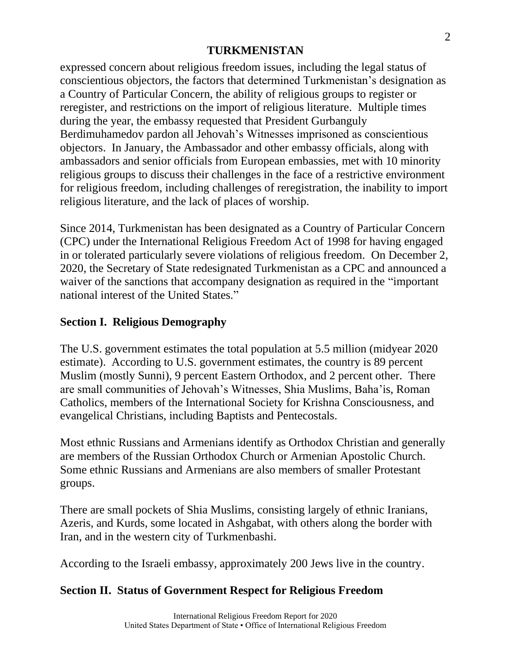expressed concern about religious freedom issues, including the legal status of conscientious objectors, the factors that determined Turkmenistan's designation as a Country of Particular Concern, the ability of religious groups to register or reregister, and restrictions on the import of religious literature. Multiple times during the year, the embassy requested that President Gurbanguly Berdimuhamedov pardon all Jehovah's Witnesses imprisoned as conscientious objectors. In January, the Ambassador and other embassy officials, along with ambassadors and senior officials from European embassies, met with 10 minority religious groups to discuss their challenges in the face of a restrictive environment for religious freedom, including challenges of reregistration, the inability to import religious literature, and the lack of places of worship.

Since 2014, Turkmenistan has been designated as a Country of Particular Concern (CPC) under the International Religious Freedom Act of 1998 for having engaged in or tolerated particularly severe violations of religious freedom. On December 2, 2020, the Secretary of State redesignated Turkmenistan as a CPC and announced a waiver of the sanctions that accompany designation as required in the "important national interest of the United States."

# **Section I. Religious Demography**

The U.S. government estimates the total population at 5.5 million (midyear 2020 estimate). According to U.S. government estimates, the country is 89 percent Muslim (mostly Sunni), 9 percent Eastern Orthodox, and 2 percent other. There are small communities of Jehovah's Witnesses, Shia Muslims, Baha'is, Roman Catholics, members of the International Society for Krishna Consciousness, and evangelical Christians, including Baptists and Pentecostals.

Most ethnic Russians and Armenians identify as Orthodox Christian and generally are members of the Russian Orthodox Church or Armenian Apostolic Church. Some ethnic Russians and Armenians are also members of smaller Protestant groups.

There are small pockets of Shia Muslims, consisting largely of ethnic Iranians, Azeris, and Kurds, some located in Ashgabat, with others along the border with Iran, and in the western city of Turkmenbashi.

According to the Israeli embassy, approximately 200 Jews live in the country.

## **Section II. Status of Government Respect for Religious Freedom**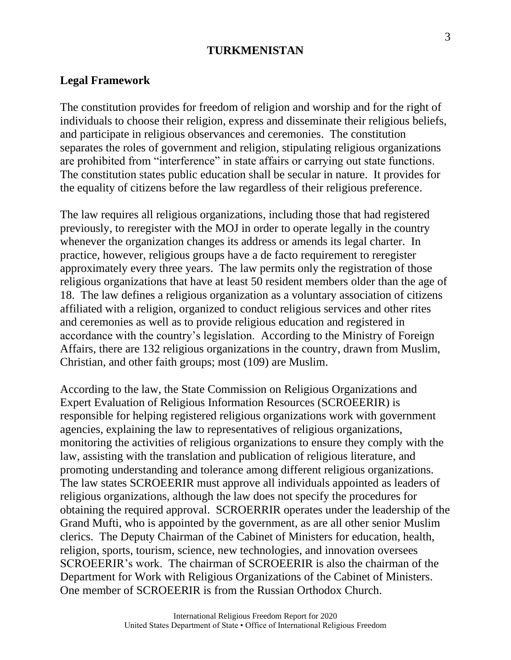#### **Legal Framework**

The constitution provides for freedom of religion and worship and for the right of individuals to choose their religion, express and disseminate their religious beliefs, and participate in religious observances and ceremonies. The constitution separates the roles of government and religion, stipulating religious organizations are prohibited from "interference" in state affairs or carrying out state functions. The constitution states public education shall be secular in nature. It provides for the equality of citizens before the law regardless of their religious preference.

The law requires all religious organizations, including those that had registered previously, to reregister with the MOJ in order to operate legally in the country whenever the organization changes its address or amends its legal charter. In practice, however, religious groups have a de facto requirement to reregister approximately every three years. The law permits only the registration of those religious organizations that have at least 50 resident members older than the age of 18. The law defines a religious organization as a voluntary association of citizens affiliated with a religion, organized to conduct religious services and other rites and ceremonies as well as to provide religious education and registered in accordance with the country's legislation. According to the Ministry of Foreign Affairs, there are 132 religious organizations in the country, drawn from Muslim, Christian, and other faith groups; most (109) are Muslim.

According to the law, the State Commission on Religious Organizations and Expert Evaluation of Religious Information Resources (SCROEERIR) is responsible for helping registered religious organizations work with government agencies, explaining the law to representatives of religious organizations, monitoring the activities of religious organizations to ensure they comply with the law, assisting with the translation and publication of religious literature, and promoting understanding and tolerance among different religious organizations. The law states SCROEERIR must approve all individuals appointed as leaders of religious organizations, although the law does not specify the procedures for obtaining the required approval. SCROERRIR operates under the leadership of the Grand Mufti, who is appointed by the government, as are all other senior Muslim clerics. The Deputy Chairman of the Cabinet of Ministers for education, health, religion, sports, tourism, science, new technologies, and innovation oversees SCROEERIR's work. The chairman of SCROEERIR is also the chairman of the Department for Work with Religious Organizations of the Cabinet of Ministers. One member of SCROEERIR is from the Russian Orthodox Church.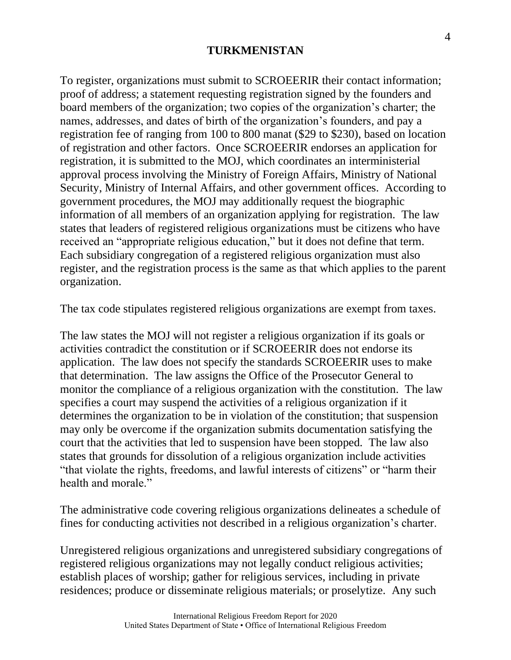To register, organizations must submit to SCROEERIR their contact information; proof of address; a statement requesting registration signed by the founders and board members of the organization; two copies of the organization's charter; the names, addresses, and dates of birth of the organization's founders, and pay a registration fee of ranging from 100 to 800 manat (\$29 to \$230), based on location of registration and other factors. Once SCROEERIR endorses an application for registration, it is submitted to the MOJ, which coordinates an interministerial approval process involving the Ministry of Foreign Affairs, Ministry of National Security, Ministry of Internal Affairs, and other government offices. According to government procedures, the MOJ may additionally request the biographic information of all members of an organization applying for registration. The law states that leaders of registered religious organizations must be citizens who have received an "appropriate religious education," but it does not define that term. Each subsidiary congregation of a registered religious organization must also register, and the registration process is the same as that which applies to the parent organization.

The tax code stipulates registered religious organizations are exempt from taxes.

The law states the MOJ will not register a religious organization if its goals or activities contradict the constitution or if SCROEERIR does not endorse its application. The law does not specify the standards SCROEERIR uses to make that determination. The law assigns the Office of the Prosecutor General to monitor the compliance of a religious organization with the constitution. The law specifies a court may suspend the activities of a religious organization if it determines the organization to be in violation of the constitution; that suspension may only be overcome if the organization submits documentation satisfying the court that the activities that led to suspension have been stopped. The law also states that grounds for dissolution of a religious organization include activities "that violate the rights, freedoms, and lawful interests of citizens" or "harm their health and morale."

The administrative code covering religious organizations delineates a schedule of fines for conducting activities not described in a religious organization's charter.

Unregistered religious organizations and unregistered subsidiary congregations of registered religious organizations may not legally conduct religious activities; establish places of worship; gather for religious services, including in private residences; produce or disseminate religious materials; or proselytize. Any such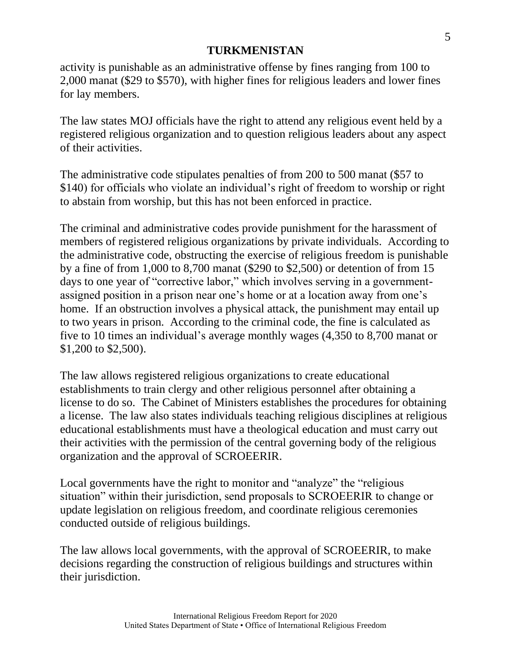activity is punishable as an administrative offense by fines ranging from 100 to 2,000 manat (\$29 to \$570), with higher fines for religious leaders and lower fines for lay members.

The law states MOJ officials have the right to attend any religious event held by a registered religious organization and to question religious leaders about any aspect of their activities.

The administrative code stipulates penalties of from 200 to 500 manat (\$57 to \$140) for officials who violate an individual's right of freedom to worship or right to abstain from worship, but this has not been enforced in practice.

The criminal and administrative codes provide punishment for the harassment of members of registered religious organizations by private individuals. According to the administrative code, obstructing the exercise of religious freedom is punishable by a fine of from 1,000 to 8,700 manat (\$290 to \$2,500) or detention of from 15 days to one year of "corrective labor," which involves serving in a governmentassigned position in a prison near one's home or at a location away from one's home. If an obstruction involves a physical attack, the punishment may entail up to two years in prison. According to the criminal code, the fine is calculated as five to 10 times an individual's average monthly wages (4,350 to 8,700 manat or \$1,200 to \$2,500).

The law allows registered religious organizations to create educational establishments to train clergy and other religious personnel after obtaining a license to do so. The Cabinet of Ministers establishes the procedures for obtaining a license. The law also states individuals teaching religious disciplines at religious educational establishments must have a theological education and must carry out their activities with the permission of the central governing body of the religious organization and the approval of SCROEERIR.

Local governments have the right to monitor and "analyze" the "religious situation" within their jurisdiction, send proposals to SCROEERIR to change or update legislation on religious freedom, and coordinate religious ceremonies conducted outside of religious buildings.

The law allows local governments, with the approval of SCROEERIR, to make decisions regarding the construction of religious buildings and structures within their jurisdiction.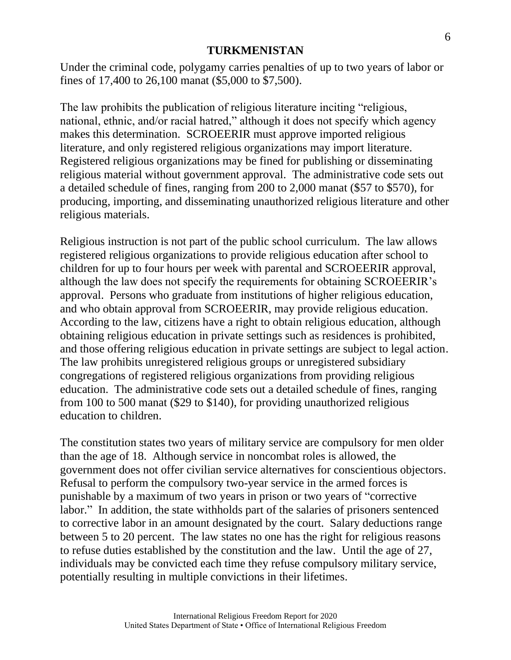Under the criminal code, polygamy carries penalties of up to two years of labor or fines of 17,400 to 26,100 manat (\$5,000 to \$7,500).

The law prohibits the publication of religious literature inciting "religious, national, ethnic, and/or racial hatred," although it does not specify which agency makes this determination. SCROEERIR must approve imported religious literature, and only registered religious organizations may import literature. Registered religious organizations may be fined for publishing or disseminating religious material without government approval. The administrative code sets out a detailed schedule of fines, ranging from 200 to 2,000 manat (\$57 to \$570), for producing, importing, and disseminating unauthorized religious literature and other religious materials.

Religious instruction is not part of the public school curriculum. The law allows registered religious organizations to provide religious education after school to children for up to four hours per week with parental and SCROEERIR approval, although the law does not specify the requirements for obtaining SCROEERIR's approval. Persons who graduate from institutions of higher religious education, and who obtain approval from SCROEERIR, may provide religious education. According to the law, citizens have a right to obtain religious education, although obtaining religious education in private settings such as residences is prohibited, and those offering religious education in private settings are subject to legal action. The law prohibits unregistered religious groups or unregistered subsidiary congregations of registered religious organizations from providing religious education. The administrative code sets out a detailed schedule of fines, ranging from 100 to 500 manat (\$29 to \$140), for providing unauthorized religious education to children.

The constitution states two years of military service are compulsory for men older than the age of 18. Although service in noncombat roles is allowed, the government does not offer civilian service alternatives for conscientious objectors. Refusal to perform the compulsory two-year service in the armed forces is punishable by a maximum of two years in prison or two years of "corrective labor." In addition, the state withholds part of the salaries of prisoners sentenced to corrective labor in an amount designated by the court. Salary deductions range between 5 to 20 percent. The law states no one has the right for religious reasons to refuse duties established by the constitution and the law. Until the age of 27, individuals may be convicted each time they refuse compulsory military service, potentially resulting in multiple convictions in their lifetimes.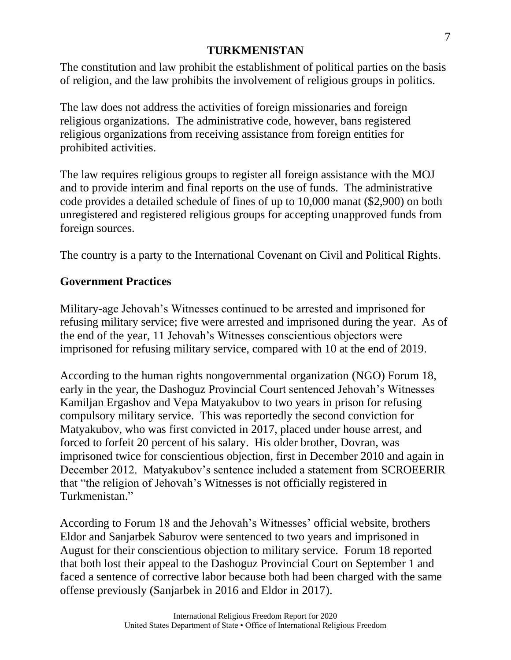The constitution and law prohibit the establishment of political parties on the basis of religion, and the law prohibits the involvement of religious groups in politics.

The law does not address the activities of foreign missionaries and foreign religious organizations. The administrative code, however, bans registered religious organizations from receiving assistance from foreign entities for prohibited activities.

The law requires religious groups to register all foreign assistance with the MOJ and to provide interim and final reports on the use of funds. The administrative code provides a detailed schedule of fines of up to 10,000 manat (\$2,900) on both unregistered and registered religious groups for accepting unapproved funds from foreign sources.

The country is a party to the International Covenant on Civil and Political Rights.

## **Government Practices**

Military-age Jehovah's Witnesses continued to be arrested and imprisoned for refusing military service; five were arrested and imprisoned during the year. As of the end of the year, 11 Jehovah's Witnesses conscientious objectors were imprisoned for refusing military service, compared with 10 at the end of 2019.

According to the human rights nongovernmental organization (NGO) Forum 18, early in the year, the Dashoguz Provincial Court sentenced Jehovah's Witnesses Kamiljan Ergashov and Vepa Matyakubov to two years in prison for refusing compulsory military service. This was reportedly the second conviction for Matyakubov, who was first convicted in 2017, placed under house arrest, and forced to forfeit 20 percent of his salary. His older brother, Dovran, was imprisoned twice for conscientious objection, first in December 2010 and again in December 2012. Matyakubov's sentence included a statement from SCROEERIR that "the religion of Jehovah's Witnesses is not officially registered in Turkmenistan."

According to Forum 18 and the Jehovah's Witnesses' official website, brothers Eldor and Sanjarbek Saburov were sentenced to two years and imprisoned in August for their conscientious objection to military service. Forum 18 reported that both lost their appeal to the Dashoguz Provincial Court on September 1 and faced a sentence of corrective labor because both had been charged with the same offense previously (Sanjarbek in 2016 and Eldor in 2017).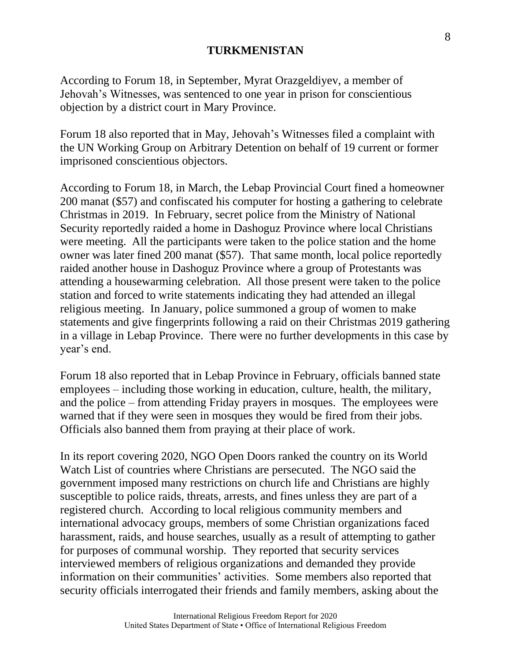According to Forum 18, in September, Myrat Orazgeldiyev, a member of Jehovah's Witnesses, was sentenced to one year in prison for conscientious objection by a district court in Mary Province.

Forum 18 also reported that in May, Jehovah's Witnesses filed a complaint with the UN Working Group on Arbitrary Detention on behalf of 19 current or former imprisoned conscientious objectors.

According to Forum 18, in March, the Lebap Provincial Court fined a homeowner 200 manat (\$57) and confiscated his computer for hosting a gathering to celebrate Christmas in 2019. In February, secret police from the Ministry of National Security reportedly raided a home in Dashoguz Province where local Christians were meeting. All the participants were taken to the police station and the home owner was later fined 200 manat (\$57). That same month, local police reportedly raided another house in Dashoguz Province where a group of Protestants was attending a housewarming celebration. All those present were taken to the police station and forced to write statements indicating they had attended an illegal religious meeting. In January, police summoned a group of women to make statements and give fingerprints following a raid on their Christmas 2019 gathering in a village in Lebap Province. There were no further developments in this case by year's end.

Forum 18 also reported that in Lebap Province in February, officials banned state employees – including those working in education, culture, health, the military, and the police – from attending Friday prayers in mosques. The employees were warned that if they were seen in mosques they would be fired from their jobs. Officials also banned them from praying at their place of work.

In its report covering 2020, NGO Open Doors ranked the country on its World Watch List of countries where Christians are persecuted. The NGO said the government imposed many restrictions on church life and Christians are highly susceptible to police raids, threats, arrests, and fines unless they are part of a registered church. According to local religious community members and international advocacy groups, members of some Christian organizations faced harassment, raids, and house searches, usually as a result of attempting to gather for purposes of communal worship. They reported that security services interviewed members of religious organizations and demanded they provide information on their communities' activities. Some members also reported that security officials interrogated their friends and family members, asking about the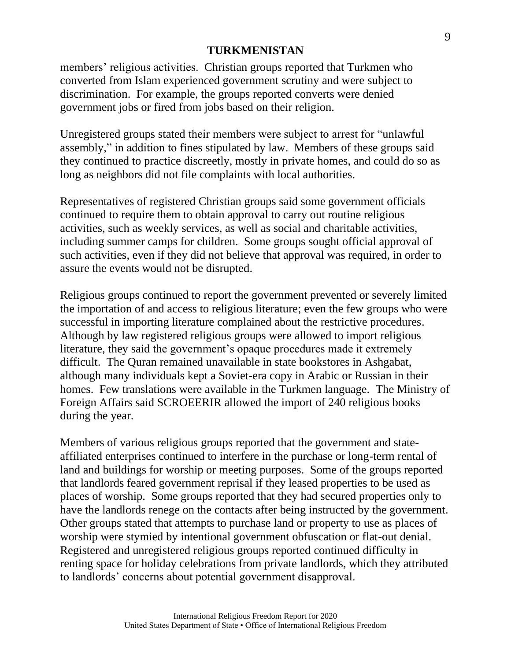members' religious activities. Christian groups reported that Turkmen who converted from Islam experienced government scrutiny and were subject to discrimination. For example, the groups reported converts were denied government jobs or fired from jobs based on their religion.

Unregistered groups stated their members were subject to arrest for "unlawful assembly," in addition to fines stipulated by law. Members of these groups said they continued to practice discreetly, mostly in private homes, and could do so as long as neighbors did not file complaints with local authorities.

Representatives of registered Christian groups said some government officials continued to require them to obtain approval to carry out routine religious activities, such as weekly services, as well as social and charitable activities, including summer camps for children. Some groups sought official approval of such activities, even if they did not believe that approval was required, in order to assure the events would not be disrupted.

Religious groups continued to report the government prevented or severely limited the importation of and access to religious literature; even the few groups who were successful in importing literature complained about the restrictive procedures. Although by law registered religious groups were allowed to import religious literature, they said the government's opaque procedures made it extremely difficult. The Quran remained unavailable in state bookstores in Ashgabat, although many individuals kept a Soviet-era copy in Arabic or Russian in their homes. Few translations were available in the Turkmen language. The Ministry of Foreign Affairs said SCROEERIR allowed the import of 240 religious books during the year.

Members of various religious groups reported that the government and stateaffiliated enterprises continued to interfere in the purchase or long-term rental of land and buildings for worship or meeting purposes. Some of the groups reported that landlords feared government reprisal if they leased properties to be used as places of worship. Some groups reported that they had secured properties only to have the landlords renege on the contacts after being instructed by the government. Other groups stated that attempts to purchase land or property to use as places of worship were stymied by intentional government obfuscation or flat-out denial. Registered and unregistered religious groups reported continued difficulty in renting space for holiday celebrations from private landlords, which they attributed to landlords' concerns about potential government disapproval.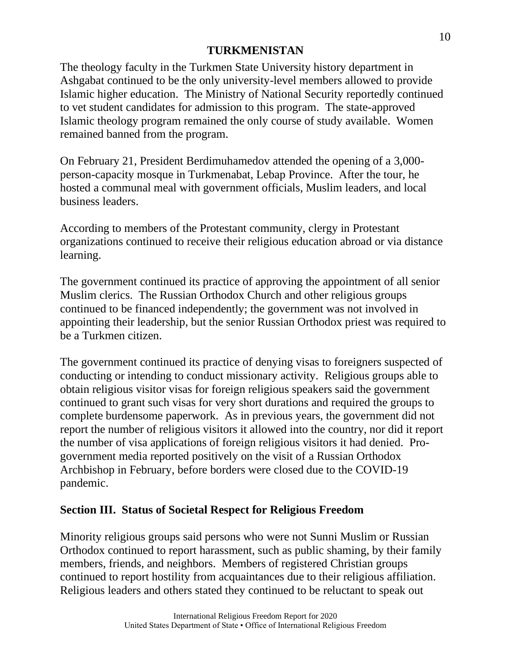The theology faculty in the Turkmen State University history department in Ashgabat continued to be the only university-level members allowed to provide Islamic higher education. The Ministry of National Security reportedly continued to vet student candidates for admission to this program. The state-approved Islamic theology program remained the only course of study available. Women remained banned from the program.

On February 21, President Berdimuhamedov attended the opening of a 3,000 person-capacity mosque in Turkmenabat, Lebap Province. After the tour, he hosted a communal meal with government officials, Muslim leaders, and local business leaders.

According to members of the Protestant community, clergy in Protestant organizations continued to receive their religious education abroad or via distance learning.

The government continued its practice of approving the appointment of all senior Muslim clerics. The Russian Orthodox Church and other religious groups continued to be financed independently; the government was not involved in appointing their leadership, but the senior Russian Orthodox priest was required to be a Turkmen citizen.

The government continued its practice of denying visas to foreigners suspected of conducting or intending to conduct missionary activity. Religious groups able to obtain religious visitor visas for foreign religious speakers said the government continued to grant such visas for very short durations and required the groups to complete burdensome paperwork. As in previous years, the government did not report the number of religious visitors it allowed into the country, nor did it report the number of visa applications of foreign religious visitors it had denied. Progovernment media reported positively on the visit of a Russian Orthodox Archbishop in February, before borders were closed due to the COVID-19 pandemic.

# **Section III. Status of Societal Respect for Religious Freedom**

Minority religious groups said persons who were not Sunni Muslim or Russian Orthodox continued to report harassment, such as public shaming, by their family members, friends, and neighbors. Members of registered Christian groups continued to report hostility from acquaintances due to their religious affiliation. Religious leaders and others stated they continued to be reluctant to speak out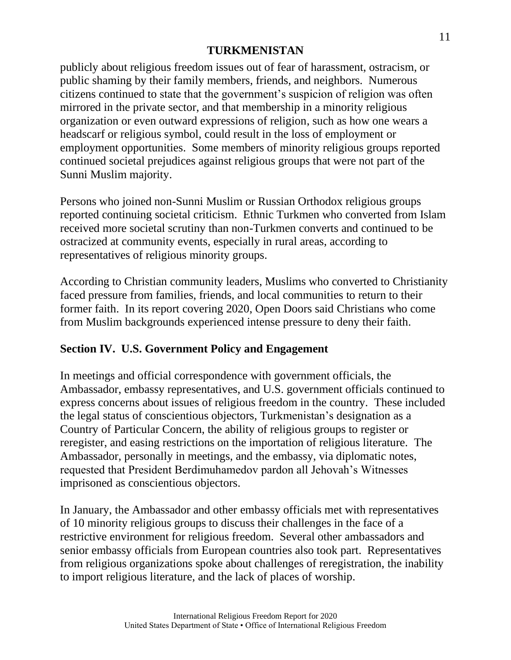publicly about religious freedom issues out of fear of harassment, ostracism, or public shaming by their family members, friends, and neighbors. Numerous citizens continued to state that the government's suspicion of religion was often mirrored in the private sector, and that membership in a minority religious organization or even outward expressions of religion, such as how one wears a headscarf or religious symbol, could result in the loss of employment or employment opportunities. Some members of minority religious groups reported continued societal prejudices against religious groups that were not part of the Sunni Muslim majority.

Persons who joined non-Sunni Muslim or Russian Orthodox religious groups reported continuing societal criticism. Ethnic Turkmen who converted from Islam received more societal scrutiny than non-Turkmen converts and continued to be ostracized at community events, especially in rural areas, according to representatives of religious minority groups.

According to Christian community leaders, Muslims who converted to Christianity faced pressure from families, friends, and local communities to return to their former faith. In its report covering 2020, Open Doors said Christians who come from Muslim backgrounds experienced intense pressure to deny their faith.

# **Section IV. U.S. Government Policy and Engagement**

In meetings and official correspondence with government officials, the Ambassador, embassy representatives, and U.S. government officials continued to express concerns about issues of religious freedom in the country. These included the legal status of conscientious objectors, Turkmenistan's designation as a Country of Particular Concern, the ability of religious groups to register or reregister, and easing restrictions on the importation of religious literature. The Ambassador, personally in meetings, and the embassy, via diplomatic notes, requested that President Berdimuhamedov pardon all Jehovah's Witnesses imprisoned as conscientious objectors.

In January, the Ambassador and other embassy officials met with representatives of 10 minority religious groups to discuss their challenges in the face of a restrictive environment for religious freedom. Several other ambassadors and senior embassy officials from European countries also took part. Representatives from religious organizations spoke about challenges of reregistration, the inability to import religious literature, and the lack of places of worship.